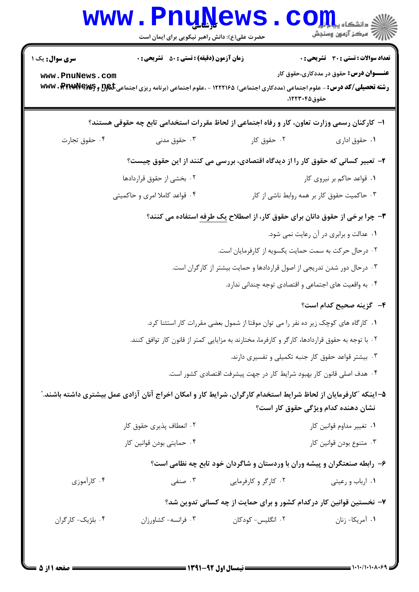|                                                                                              | <b>www.PnuNews</b><br>حضرت علی(ع): دانش راهبر نیکویی برای ایمان است                                                                                                                                 |                                                                                                  | ے<br>اسکر آزمون وسنڊش                                                                          |  |  |
|----------------------------------------------------------------------------------------------|-----------------------------------------------------------------------------------------------------------------------------------------------------------------------------------------------------|--------------------------------------------------------------------------------------------------|------------------------------------------------------------------------------------------------|--|--|
| <b>سری سوال :</b> یک ۱<br>www.PnuNews.com                                                    | <b>زمان آزمون (دقیقه) : تستی : 50 ٪ تشریحی : 0</b><br><b>رشته تحصیلی/کد درس:</b> - علوم اجتماعی (مددکاری اجتماعی) ۱۲۲۲۱۶۵ - ،علوم اجتماعی (برنامه ریزی اجتماعی ک <del>لگورا</del> و www. PtrudVeyey | حقوق ۱۲۲۳۰۴۵،                                                                                    | <b>تعداد سوالات : تستی : 30 ٪ تشریحی : 0</b><br><b>عنــــوان درس:</b> حقوق در مددکاری،حقوق کار |  |  |
| ا– کارکنان رسمی وزارت تعاون، کار و رفاه اجتماعی از لحاظ مقررات استخدامی تابع چه حقوقی هستند؟ |                                                                                                                                                                                                     |                                                                                                  |                                                                                                |  |  |
| ۰۴ حقوق تجارت                                                                                | جقوق مدنى $\cdot$ "                                                                                                                                                                                 | ۰۲ حقوق کار                                                                                      | ٠١ حقوق اداري                                                                                  |  |  |
|                                                                                              |                                                                                                                                                                                                     | ۲- تعبیر کسانی که حقوق کار را از دیدگاه اقتصادی، بررسی می کنند از این حقوق چیست؟                 |                                                                                                |  |  |
|                                                                                              | ۰۲ بخشی از حقوق قراردادها                                                                                                                                                                           |                                                                                                  | ۰۱ قواعد حاکم بر نیروی کار                                                                     |  |  |
|                                                                                              | ۰۴ قواعد کاملا امری و حاکمیتی                                                                                                                                                                       |                                                                                                  | ۰۳ حاکمیت حقوق کار بر همه روابط ناشی از کار                                                    |  |  |
| <b>۳</b> – چرا برخی از حقوق دانان برای حقوق کار، از اصطلاح یک طرفه استفاده می کنند؟          |                                                                                                                                                                                                     |                                                                                                  |                                                                                                |  |  |
|                                                                                              |                                                                                                                                                                                                     |                                                                                                  | ۰۱ عدالت و برابری در آن رعایت نمی شود.                                                         |  |  |
|                                                                                              | ۰۲ درحال حرکت به سمت حمایت یکسویه از کارفرمایان است.                                                                                                                                                |                                                                                                  |                                                                                                |  |  |
| ۰۳ درحال دور شدن تدریجی از اصول قراردادها و حمایت بیشتر از کارگران است.                      |                                                                                                                                                                                                     |                                                                                                  |                                                                                                |  |  |
|                                                                                              |                                                                                                                                                                                                     | ۰۴ به واقعیت های اجتماعی و اقتصادی توجه چندانی ندارد.                                            |                                                                                                |  |  |
|                                                                                              |                                                                                                                                                                                                     |                                                                                                  | ۴– گزینه صحیح کدام است؟                                                                        |  |  |
| ۰۱ کارگاه های کوچک زیر ده نفر را می توان موقتا از شمول بعضی مقررات کار استثنا کرد.           |                                                                                                                                                                                                     |                                                                                                  |                                                                                                |  |  |
|                                                                                              |                                                                                                                                                                                                     | ۲ . با توجه به حقوق قراردادها، کارگر و کارفرما، مختارند به مزایایی کمتر از قانون کار توافق کنند. |                                                                                                |  |  |
|                                                                                              |                                                                                                                                                                                                     | ۰۳ بیشتر قواعد حقوق کار جنبه تکمیلی و تفسیری دارند.                                              |                                                                                                |  |  |
|                                                                                              |                                                                                                                                                                                                     | ۰۴ هدف اصلی قانون کار بهبود شرایط کار در جهت پیشرفت اقتصادی کشور است.                            |                                                                                                |  |  |
|                                                                                              | ۵–اینکه "کارفرمایان از لحاظ شرایط استخدام کارگران، شرایط کار و امکان اخراج آنان آزادی عمل بیشتری داشته باشند."                                                                                      |                                                                                                  | نشان دهنده کدام ویژگی حقوق کار است؟                                                            |  |  |
|                                                                                              | ۲. انعطاف پذیری حقوق کار                                                                                                                                                                            |                                                                                                  | ۰۱ تغییر مداوم قوانین کار                                                                      |  |  |
|                                                                                              | ۰۴ حمایتی بودن قوانین کار                                                                                                                                                                           |                                                                                                  | ۰۳ متنوع بودن قوانين كار                                                                       |  |  |
|                                                                                              |                                                                                                                                                                                                     | ۶- رابطه صنعتگران و پیشه وران با وردستان و شاگردان خود تابع چه نظامی است؟                        |                                                                                                |  |  |
| ۰۴ کارآموزی                                                                                  | ۰۳ صنفی                                                                                                                                                                                             | ۰۲ کارگر و کارفرمایی                                                                             | ٠١ ارباب و رعيتي                                                                               |  |  |
|                                                                                              |                                                                                                                                                                                                     | ۷– نخستین قوانین کار درکدام کشور و برای حمایت از چه کسانی تدوین شد؟                              |                                                                                                |  |  |
| ۰۴ بلژیک- کارگران                                                                            | ۰۳ فرانسه- کشاورزان                                                                                                                                                                                 | ۰۲ انگلیس- کودکان                                                                                | ٠١ أمريكا- زنان                                                                                |  |  |
|                                                                                              |                                                                                                                                                                                                     |                                                                                                  |                                                                                                |  |  |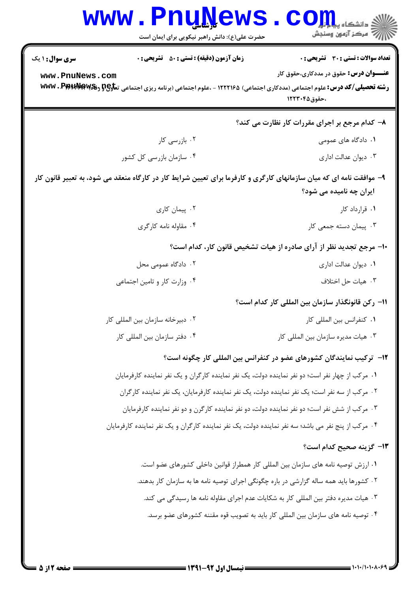| <b>WWW</b>             | <b>FULLVEWS</b><br>حضرت علی(ع): دانش راهبر نیکویی برای ایمان است                                                                      | دانشگاه پ <b>یا ب<sup>ا</sup> با<mark>ر</mark></b><br>رِ آھرڪز آزمون وسنڊش |  |  |
|------------------------|---------------------------------------------------------------------------------------------------------------------------------------|----------------------------------------------------------------------------|--|--|
| <b>سری سوال : ۱ یک</b> | <b>زمان آزمون (دقیقه) : تستی : 50 ٪ تشریحی : 0</b>                                                                                    | <b>تعداد سوالات : تستی : 30 ٪ تشریحی : 0</b>                               |  |  |
| www.PnuNews.com        | رشته تحصیلی/کد درس: علوم اجتماعی (مددکاری اجتماعی) ۱۲۲۲۱۶۵ - ،علوم اجتماعی (برنامه ریزی اجتماعی ت <del>ماو2G و WW</del> V . PARtARAW& | <b>عنــــوان درس:</b> حقوق در مددکاری،حقوق کار<br>،حقوق1۲۲۳۰۴۵             |  |  |
|                        |                                                                                                                                       | ۸– کدام مرجع بر اجرای مقررات کار نظارت می کند؟                             |  |  |
|                        | ۰۲ بازرسی کار                                                                                                                         | ۰۱ دادگاه های عمومی                                                        |  |  |
|                        | ۰۴ سازمان بازرسی کل کشور                                                                                                              | ۰۳ دیوان عدالت اداری                                                       |  |  |
|                        | ۹- موافقت نامه ای که میان سازمانهای کارگری و کارفرما برای تعیین شرایط کار در کارگاه منعقد می شود، به تعبیر قانون کار                  | ایران چه نامیده می شود؟                                                    |  |  |
|                        | ۰۲ پیمان کاری                                                                                                                         | ۰۱ قرارداد کار                                                             |  |  |
| ۰۴ مقاوله نامه کارگری  |                                                                                                                                       | ۰۳ پیمان دسته جمعی کار                                                     |  |  |
|                        | ∙ا− مرجع تجدید نظر از آرای صادره از هیات تشخیص قانون کار، کدام است؟                                                                   |                                                                            |  |  |
|                        | ۰۲ دادگاه عمومی محل                                                                                                                   | ۰۱ دیوان عدالت اداری                                                       |  |  |
|                        | ۰۴ وزارت کار و تامین اجتماعی                                                                                                          | ۰۳ هيات حل اختلاف                                                          |  |  |
|                        |                                                                                                                                       | 11– ركن قانونگذار سازمان بين المللي كار كدام است؟                          |  |  |
|                        | ۰۲ دبیرخانه سازمان بین المللی کار                                                                                                     | ٠١ كنفرانس بين المللي كار                                                  |  |  |
|                        | ۰۴ دفتر سازمان بين المللي كار                                                                                                         | ۰۳ هیات مدیره سازمان بین المللی کار                                        |  |  |
|                        |                                                                                                                                       | ۱۲– ترکیب نمایندگان کشورهای عضو در کنفرانس بین المللی کار چگونه است؟       |  |  |
|                        | ۱. مرکب از چهار نفر است؛ دو نفر نماینده دولت، یک نفر نماینده کارگران و یک نفر نماینده کارفرمایان                                      |                                                                            |  |  |
|                        | ۰۲ مرکب از سه نفر است؛ یک نفر نماینده دولت، یک نفر نماینده کارفرمایان، یک نفر نماینده کارگران                                         |                                                                            |  |  |
|                        | ۰۳ مرکب از شش نفر است؛ دو نفر نماینده دولت، دو نفر نماینده کارگرن و دو نفر نماینده کارفرمایان                                         |                                                                            |  |  |
|                        | ۰۴ مرکب از پنج نفر می باشد؛ سه نفر نماینده دولت، یک نفر نماینده کارگران و یک نفر نماینده کارفرمایان                                   |                                                                            |  |  |
|                        |                                                                                                                                       | <b>۱۳</b> گزینه صحیح کدام است؟                                             |  |  |
|                        | ١. ارزش توصيه نامه هاي سازمان بين المللي كار همطراز قوانين داخلي كشورهاي عضو است.                                                     |                                                                            |  |  |
|                        | ۲ . کشورها باید همه ساله گزارشی در باره چگونگی اجرای توصیه نامه ها به سازمان کار بدهند.                                               |                                                                            |  |  |
|                        | ۰۳ هیات مدیره دفتر بین المللی کار به شکایات عدم اجرای مقاوله نامه ها رسیدگی می کند.                                                   |                                                                            |  |  |
|                        | ۰۴ توصیه نامه های سازمان بین المللی کار باید به تصویب قوه مقننه کشورهای عضو برسد.                                                     |                                                                            |  |  |
|                        |                                                                                                                                       |                                                                            |  |  |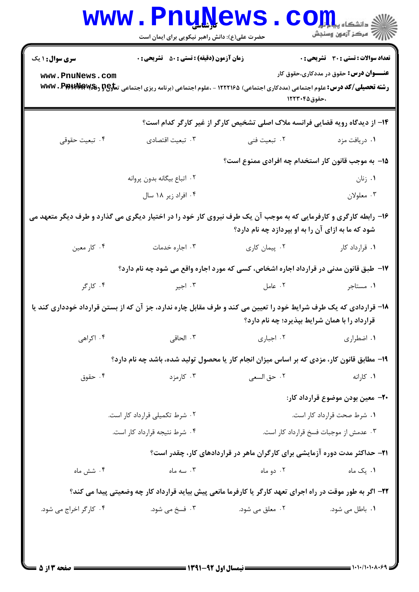|                                                                                                                                                                       | <b>www.PnuNews</b><br>حضرت علی(ع): دانش راهبر نیکویی برای ایمان است                                                                                                |                                                                              | / مرکز آزمون وسنجش                             |  |
|-----------------------------------------------------------------------------------------------------------------------------------------------------------------------|--------------------------------------------------------------------------------------------------------------------------------------------------------------------|------------------------------------------------------------------------------|------------------------------------------------|--|
| <b>سری سوال : ۱ یک</b>                                                                                                                                                | <b>زمان آزمون (دقیقه) : تستی : 50 ٪ تشریحی : 0</b>                                                                                                                 |                                                                              | <b>تعداد سوالات : تستی : 30 ٪ تشریحی : 0</b>   |  |
| www.PnuNews.com                                                                                                                                                       | <b>رشته تحصیلی/کد درس:</b> علوم اجتماعی (مددکاری اجتماعی) ۱۲۲۲۱۶۵ - ،علوم اجتماعی (برنامه ریزی اجتماعی ت <del>ماوP رفگ</del> الا <b>بالاستان که استفای که تولی</b> | ،حقوق1۲۲۳۰۴۵                                                                 | <b>عنــــوان درس:</b> حقوق در مددکاری،حقوق کار |  |
|                                                                                                                                                                       |                                                                                                                                                                    | ۱۴– از دیدگاه رویه قضایی فرانسه ملاک اصلی تشخیص کارگر از غیر کارگر کدام است؟ |                                                |  |
| ۴. تبعيت حقوقى                                                                                                                                                        |                                                                                                                                                                    |                                                                              | ۰۱ دریافت مزد                                  |  |
|                                                                                                                                                                       |                                                                                                                                                                    | ۱۵– به موجب قانون کار استخدام چه افرادی ممنوع است؟                           |                                                |  |
|                                                                                                                                                                       | ٠٢ اتباع بيگانه بدون پروانه                                                                                                                                        |                                                                              | ۰۱ زنان                                        |  |
|                                                                                                                                                                       | ۰۴ افراد زیر ۱۸ سال                                                                                                                                                |                                                                              | ۰۳ معلولان                                     |  |
| ۱۶- رابطه کارگری و کارفرمایی که به موجب آن یک طرف نیروی کار خود را در اختیار دیگری می گذارد و طرف دیگر متعهد می<br>شود که ما به ازای آن را به او بپردازد چه نام دارد؟ |                                                                                                                                                                    |                                                                              |                                                |  |
| ۰۴ کار معین                                                                                                                                                           | ۰۳ اجاره خدمات                                                                                                                                                     | ۰۲ پیمان کاری                                                                | ۰۱ قرارداد کار                                 |  |
|                                                                                                                                                                       | ۱۷- طبق قانون مدنی در قرارداد اجاره اشخاص، کسی که مورد اجاره واقع می شود چه نام دارد؟                                                                              |                                                                              |                                                |  |
| ۰۴ کارگر                                                                                                                                                              | ۰۳ اجیر                                                                                                                                                            | ٢. عامل                                                                      | ۰۱ مستاجر                                      |  |
| ۱۸– قراردادی که یک طرف شرایط خود را تعیین می کند و طرف مقابل چاره ندارد، جز آن که از بستن قرارداد خودداری کند یا<br>قرارداد را با همان شرایط بپذیرد؛ چه نام دارد؟     |                                                                                                                                                                    |                                                                              |                                                |  |
| ۰۴ اکراهی                                                                                                                                                             | ۰۳ الحاقي                                                                                                                                                          | ۰۲ اجباری                                                                    | ٠١. اضطرارى                                    |  |
|                                                                                                                                                                       | ۱۹- مطابق قانون کار، مزدی که بر اساس میزان انجام کار یا محصول تولید شده، باشد چه نام دارد؟                                                                         |                                                                              |                                                |  |
| ۰۴ حقوق                                                                                                                                                               | ۰۳ کارمزد                                                                                                                                                          | ٠٢ حق السعي                                                                  | ۰۱ کارانه                                      |  |
|                                                                                                                                                                       |                                                                                                                                                                    |                                                                              | +۲- معین بودن موضوع قرارداد کار:               |  |
|                                                                                                                                                                       | ۰۲ شرط تکمیلی قرارداد کار است.                                                                                                                                     | ۰۱ شرط صحت قرارداد کار است.                                                  |                                                |  |
|                                                                                                                                                                       | ۰۴ شرط نتيجه قرارداد كار است.                                                                                                                                      | ۰۳ عدمش از موجبات فسخ قرارداد کار است.                                       |                                                |  |
|                                                                                                                                                                       |                                                                                                                                                                    | ۲۱– حداکثر مدت دوره آزمایشی برای کارگران ماهر در قراردادهای کار، چقدر است؟   |                                                |  |
| ۰۴ شش ماه                                                                                                                                                             | ۰۳ سه ماه                                                                                                                                                          | ۰۲ دو ماه                                                                    | ۰۱ یک ماه                                      |  |
| ۲۲– اگر به طور موقت در راه اجرای تعهد کارگر یا کارفرما مانعی پیش بیاید قرارداد کار چه وضعیتی پیدا می کند؟                                                             |                                                                                                                                                                    |                                                                              |                                                |  |
| ۰۴ کارگر اخراج می شود.                                                                                                                                                | ۰۳ فسخ می شود.                                                                                                                                                     | ۰۲ معلق می شود.                                                              | ۰۱ باطل می شود.                                |  |
|                                                                                                                                                                       |                                                                                                                                                                    |                                                                              |                                                |  |
|                                                                                                                                                                       |                                                                                                                                                                    |                                                                              |                                                |  |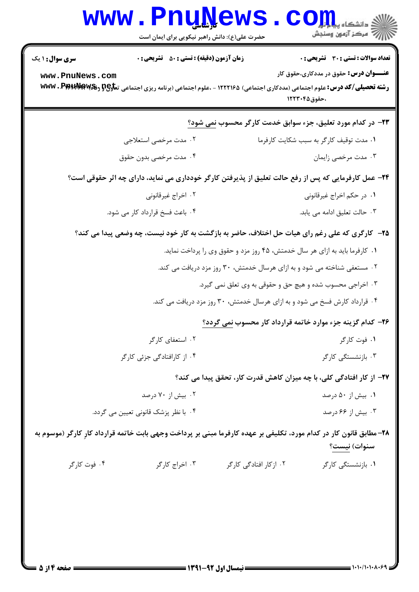|                                                                                                                                      | www.PnuNews<br>حضرت علی(ع): دانش راهبر نیکویی برای ایمان است                                                                                                                                |                                                                          | الاد دانشگاه پیابانی<br>الا دانشگاه پیابانی                                                           |  |  |
|--------------------------------------------------------------------------------------------------------------------------------------|---------------------------------------------------------------------------------------------------------------------------------------------------------------------------------------------|--------------------------------------------------------------------------|-------------------------------------------------------------------------------------------------------|--|--|
| <b>سری سوال : ۱ یک</b><br>www.PnuNews.com                                                                                            | <b>زمان آزمون (دقیقه) : تستی : 50 ٪ تشریحی : 0</b><br>رشته تحصیلی/کد درس: علوم اجتماعی (مددکاری اجتماعی) ۱۲۲۲۱۶۵ - ،علوم اجتماعی (برنامه ریزی اجتماعی ت <del>ماو2G و WW</del> V . PpHtdMawg |                                                                          | تعداد سوالات : تستى : 30 قشريحى : 0<br><b>عنــــوان درس:</b> حقوق در مددکاری،حقوق کار<br>،حقوق1۲۲۳۰۴۵ |  |  |
|                                                                                                                                      |                                                                                                                                                                                             |                                                                          | <b>۲۳</b> - در کدام مورد تعلیق، جزء سوابق خدمت کارگر محسوب <u>نمی</u> شود؟                            |  |  |
|                                                                                                                                      | ۰۲ مدت مرخصی استعلاجی                                                                                                                                                                       |                                                                          | ٠١ مدت توقيف كاركر به سبب شكايت كارفرما                                                               |  |  |
| ۰۴ مدت مرخصی بدون حقوق                                                                                                               |                                                                                                                                                                                             | ۰۳ مدت مرخصي زايمان                                                      |                                                                                                       |  |  |
| ۲۴- عمل کارفرمایی که پس از رفع حالت تعلیق از پذیرفتن کارگر خودداری می نماید، دارای چه اثر حقوقی است؟                                 |                                                                                                                                                                                             |                                                                          |                                                                                                       |  |  |
| ۰۲ اخراج غیرقانونی                                                                                                                   |                                                                                                                                                                                             |                                                                          | ۰۱ در حکم اخراج غیرقانونی                                                                             |  |  |
| ۰۴ باعث فسخ قرارداد کار می شود.                                                                                                      |                                                                                                                                                                                             |                                                                          | ۰۳ حالت تعليق ادامه مي يابد.                                                                          |  |  |
|                                                                                                                                      | ۲۵– کارگری که علی رغم رای هیات حل اختلاف، حاضر به بازگشت به کار خود نیست، چه وضعی پیدا می کند؟                                                                                              |                                                                          |                                                                                                       |  |  |
| ۰۱ کارفرما باید به ازای هر سال خدمتش، ۴۵ روز مزد و حقوق وی را پرداخت نماید.                                                          |                                                                                                                                                                                             |                                                                          |                                                                                                       |  |  |
|                                                                                                                                      |                                                                                                                                                                                             | ۰۲ مستعفی شناخته می شود و به ازای هرسال خدمتش، ۳۰ روز مزد دریافت می کند. |                                                                                                       |  |  |
|                                                                                                                                      |                                                                                                                                                                                             | ۰۳ اخراجی محسوب شده و هیچ حق و حقوقی به وی تعلق نمی گیرد.                |                                                                                                       |  |  |
|                                                                                                                                      | ۰۴ قرارداد کارش فسخ می شود و به ازای هرسال خدمتش، ۳۰ روز مزد دریافت می کند.                                                                                                                 |                                                                          |                                                                                                       |  |  |
|                                                                                                                                      |                                                                                                                                                                                             |                                                                          | <b>۲۶</b> - کدام گزینه جزء موارد خاتمه قرارداد کار محسوب <u>نمی</u> گردد؟                             |  |  |
| ۰۲ استعفای کارگر                                                                                                                     |                                                                                                                                                                                             |                                                                          | ۰۱ فوت کارگر                                                                                          |  |  |
| ۰۴ از کارافتادگی جزئی کارگر                                                                                                          |                                                                                                                                                                                             |                                                                          | ۰۳ بازنشستگی کارگر                                                                                    |  |  |
|                                                                                                                                      |                                                                                                                                                                                             |                                                                          | ۲۷- از کار افتادگی کلی، با چه میزان کاهش قدرت کار، تحقق پیدا می کند؟                                  |  |  |
| ۰۲ بیش از ۷۰ درصد                                                                                                                    |                                                                                                                                                                                             |                                                                          | ۰۱ بیش از ۵۰ درصد                                                                                     |  |  |
|                                                                                                                                      | ۰۴ با نظر پزشک قانونی تعیین می گردد.                                                                                                                                                        |                                                                          | ۰۳ بیش از ۶۶ درصد                                                                                     |  |  |
| ۲۸- مطابق قانون کار در کدام مورد، تکلیفی بر عهده کارفرما مبنی بر پرداخت وجهی بابت خاتمه قرارداد کارِ کارگر (موسوم به<br>سنوات) نیست؟ |                                                                                                                                                                                             |                                                                          |                                                                                                       |  |  |
| ۰۴ فوت کارگر                                                                                                                         | ۰۳ اخراج کارگر                                                                                                                                                                              | ۰۲ از کار افتادگی کارگر                                                  | ۰۱ بازنشستگی کارگر                                                                                    |  |  |
|                                                                                                                                      |                                                                                                                                                                                             |                                                                          |                                                                                                       |  |  |